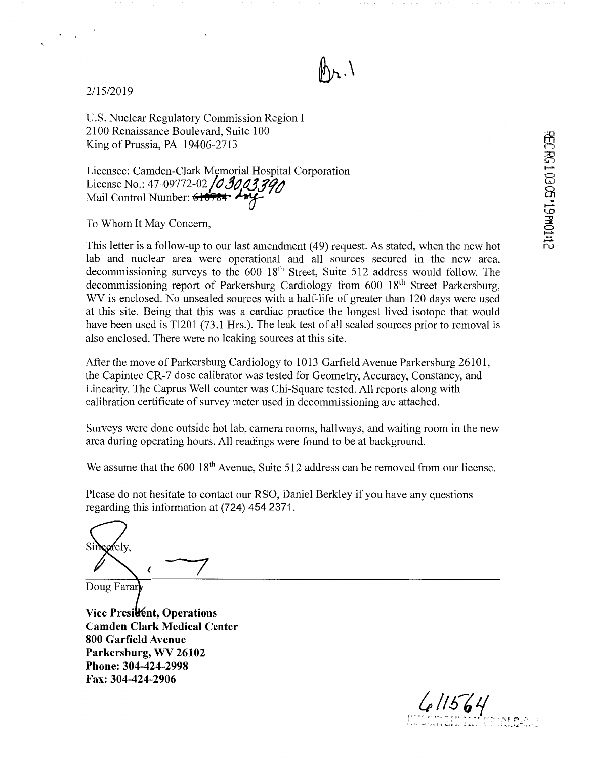

2/15/2019

U.S. Nuclear Regulatory Commission Region I 2100 Renaissance Boulevard, Suite 100 King of Prussia, PA 19406-2713

Licensee: Camden-Clark Memorial Hospital Corporation License No.: 47-09772-02 *j()JtJ.t1,.JJ'f t1*  Mail Control Number: **610TM·** ~

To Whom It May Concern,

This letter is a follow-up to our last amendment ( 49) request. As stated, when the new hot lab and nuclear area were operational and all sources secured in the new area, decommissioning surveys to the 600 18<sup>th</sup> Street, Suite 512 address would follow. The decommissioning report of Parkersburg Cardiology from 600 18<sup>th</sup> Street Parkersburg, WV is enclosed. No unsealed sources with a half-life of greater than 120 days were used at this site. Being that this was a cardiac practice the longest lived isotope that would have been used is Tl201 (73.1 Hrs.). The leak test of all sealed sources prior to removal is also enclosed. There were no leaking sources at this site.

After the move of Parkersburg Cardiology to 1013 Garfield Avenue Parkersburg 26101, the Capintec CR-7 dose calibrator was tested for Geometry, Accuracy, Constancy, and Linearity. The Caprus Well counter was Chi-Square tested. All reports along with calibration certificate of survey meter used in decommissioning are attached.

Surveys were done outside hot lab, camera rooms, hallways, and waiting room in the new area during operating hours. All readings were found to be at background.

We assume that the 600 18<sup>th</sup> Avenue, Suite 512 address can be removed from our license.

Please do not hesitate to contact our RSO, Daniel Berkley if you have any questions regarding this information at (724) 454 2371.

 $\frac{1}{\sqrt{2}}$ 

Doug Farar

**Vice Presilent, Operations Camden Clark Medical Center 800 Garfield Avenue Parkersburg, WV 26102 Phone: 304-424-2998 Fax: 304-424-2906** 

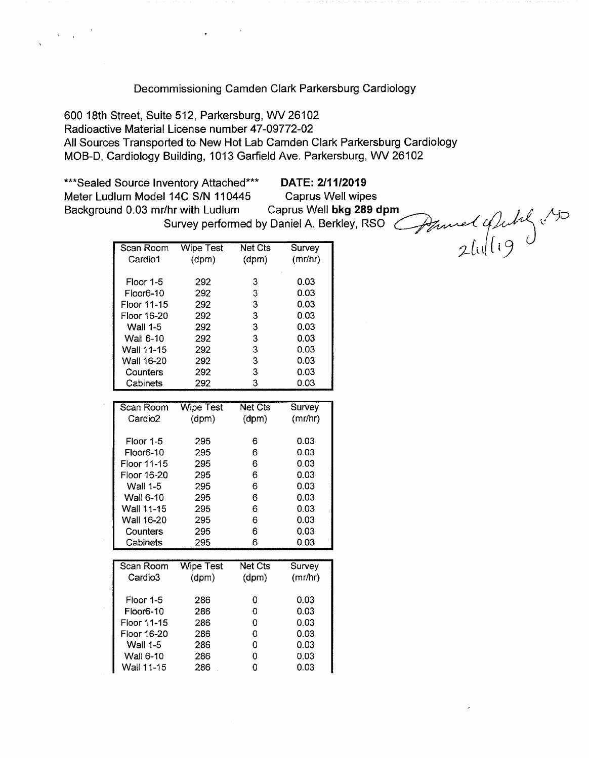#### Decommissioning Camden Clark Parkersburg Cardiology

600 18th Street, Suite 512, Parkersburg, WV 26102 Radioactive Material License number 47-09772-02 All Sources Transported to New Hot Lab Camden Clark Parkersburg Cardiology MOB-D, Cardiology Building, 1013 Garfield Ave. Parkersburg, WV 26102

\*\*\*Sealed Source Inventory Attached\*\*\* **DATE: 2/11/2019**  Meter Ludlum Model 14C S/N 110445 Caprus Well wipes Figure 15 Mattached<sup>\*\*\*</sup><br>Background 0.03 mr/hr with Ludium Caprus Well wipes<br>Background 0.03 mr/hr with Ludium Caprus Well **bkg 289 dpm Super Super Super Action** 

Thr with Ludlum Caprus Well bkg 289 dpm<br>Survey performed by Daniel A. Berkley, RSO Completed of July

| Scan Room           | <b>Wipe Test</b> | <b>Net Cts</b> | Survey  |
|---------------------|------------------|----------------|---------|
| Cardio1             | (dpm)            | (dpm)          | (mr/hr) |
|                     |                  |                |         |
| Floor 1-5           | 292              | 3              | 0.03    |
| Floor6-10           | 292              | 3              | 0.03    |
| Floor 11-15         | 292              | 3              | 0.03    |
| Floor 16-20         | 292              | 3              | 0.03    |
| Wall 1-5            | 292              | 3              | 0.03    |
| <b>Wall 6-10</b>    | 292              | 3              | 0.03    |
| Wall 11-15          | 292              | 3              | 0.03    |
| Wall 16-20          | 292              | 3              | 0.03    |
| Counters            | 292              | 3              | 0.03    |
| Cabinets            | 292              | 3              | 0.03    |
|                     |                  |                |         |
| Scan Room           | <b>Wipe Test</b> | <b>Net Cts</b> | Survey  |
| Cardio <sub>2</sub> | (dpm)            | (dpm)          | (mr/hr) |
|                     |                  |                |         |
| Floor 1-5           | 295              | 6              | 0.03    |
| Floor6-10           | 295              | 6              | 0.03    |
| Floor 11-15         | 295              | 6              | 0.03    |
| Floor 16-20         | 295              | 6              | 0.03    |
| <b>Wall 1-5</b>     | 295              | 6              | 0.03    |
| Wall 6-10           | 295              | 6              | 0.03    |
| Wall 11-15          | 295              | 6              | 0.03    |
| Wall 16-20          | 295              | 6              | 0.03    |
| Counters            | 295              | 6              | 0.03    |
| Cabinets            | 295              | 6              | 0.03    |
|                     |                  |                |         |
| Scan Room           | Wipe Test        | <b>Net Cts</b> | Survey  |
| Cardio3             | (dpm)            | (dpm)          | (mr/hr) |
|                     |                  |                |         |
| Floor 1-5           | 286              | 0              | 0.03    |
| Floor6-10           | 286              | 0              | 0.03    |
| Floor 11-15         | 286              | 0              | 0.03    |
| Floor 16-20         | 286              | 0              | 0.03    |
| <b>Wall 1-5</b>     | 286              | $\mathbf 0$    | 0.03    |

Wall 6-10 286 0 0.03

Wall 11-15 286 0.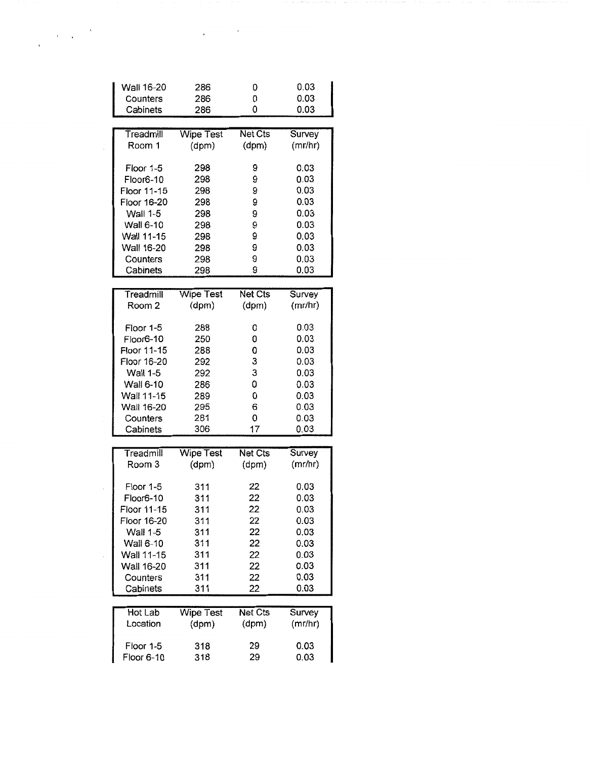| Wall 16-20<br>Counters   | 286<br>286                | 0<br>0           | 0.03<br>0.03      |
|--------------------------|---------------------------|------------------|-------------------|
| Cabinets                 | 286                       | 0                | 0.03              |
|                          |                           |                  |                   |
| Treadmill<br>Room 1      | <b>Wipe Test</b><br>(dpm) | Net Cts<br>(dpm) | Survey<br>(mr/hr) |
| Floor 1-5                | 298                       | 9                | 0.03              |
| Floor6-10<br>Floor 11-15 | 298                       | 9<br>9           | 0.03<br>0.03      |
| Floor 16-20              | 298<br>298                | 9                | 0.03              |
| <b>Wall 1-5</b>          | 298                       | 9                | 0.03              |
| Wall 6-10                | 298                       | 9                | 0.03              |
| Wall 11-15               | 298                       | 9                | 0.03              |
| Wall 16-20               | 298                       | 9                | 0.03              |
| Counters                 | 298                       | 9                | 0.03              |
| Cabinets                 | 298                       | 9                | 0.03              |
| Treadmill                | <b>Wipe Test</b>          | <b>Net Cts</b>   | Survey            |
| Room 2                   | (dpm)                     | (dpm)            | (mr/hr)           |
| Floor 1-5                | 288                       | 0                | 0.03              |
| Floor6-10                | 250                       | 0                | 0.03              |
| Floor 11-15              | 288                       | 0                | 0.03              |
| Floor 16-20              | 292                       | 3                | 0.03              |
| Wall 1-5                 | 292                       | 3                | 0.03              |
| Wall 6-10                | 286                       | 0                | 0.03              |
| Wall 11-15               | 289                       | 0<br>6           | 0.03<br>0.03      |
| Wall 16-20<br>Counters   | 295<br>281                | 0                | 0.03              |
| Cabinets                 | 306                       | 17               | 0.03              |
|                          |                           |                  |                   |
| Treadmill                | <b>Wipe Test</b>          | Net Cts          | Survey            |
| Room 3                   | (dpm)                     | (dpm)            | (mr/hr)           |
| Floor 1-5                | 311                       | 22               | 0.03              |
| Floor6-10                | 311                       | 22               | 0.03              |
| Floor 11-15              | 311                       | 22               | 0.03              |
| Floor 16-20              | 311                       | 22               | 0.03              |
| Wall 1-5                 | 311                       | 22               | 0.03              |
| Wall 6-10                | 311                       | 22               | 0.03              |
| Wall 11-15               | 311                       | 22               | 0.03              |
| Wall 16-20               | 311                       | 22               | 0.03              |
| Counters                 | 311                       | 22               | 0.03              |
| Cabinets                 | 311                       | 22               | 0.03              |
| Hot Lab                  | <b>Wipe Test</b>          | <b>Net Cts</b>   | Survey            |
| Location                 | (dpm)                     | (dpm)            | (mr/hr)           |
| Floor 1-5                | 318                       | 29               | 0.03              |
| Floor 6-10               | 318                       | 29               | 0.03              |

 $\mathbf{y} = \mathbf{y} \in \mathbb{R}^{N}$ 

 $\label{eq:2} \frac{1}{\sqrt{2\pi}}\left(\frac{1}{\sqrt{2\pi}}\right)^{1/2}\frac{1}{\sqrt{2\pi}}\left(\frac{1}{\sqrt{2\pi}}\right)^{1/2}$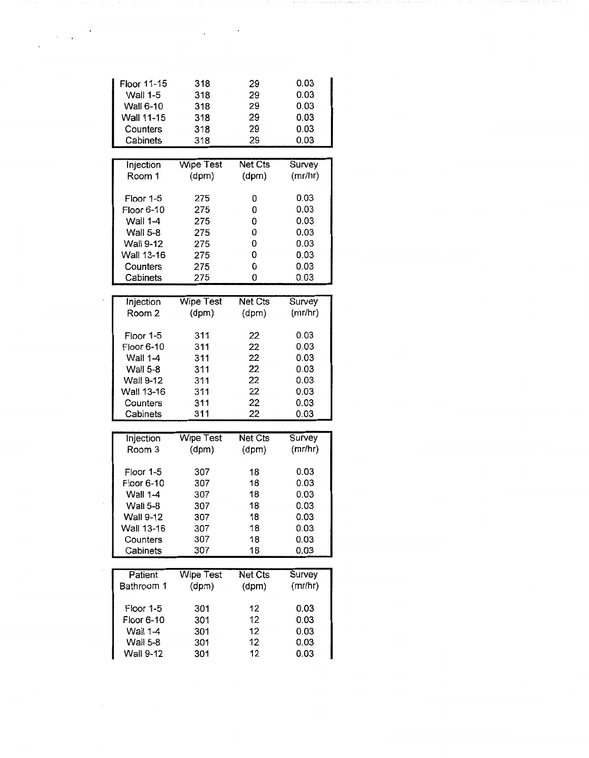| Floor 11-15                  | 318              | 29             | 0.03         |
|------------------------------|------------------|----------------|--------------|
| Wall 1-5                     | 318              | 29             | 0.03         |
| Wall 6-10                    | 318              | 29             | 0.03         |
| Wall 11-15                   | 318              | 29             | 0.03         |
| Counters                     | 318              | 29             | 0.03         |
| Cabinets                     | 318              | 29             | 0.03         |
|                              |                  |                |              |
| Injection                    | <b>Wipe Test</b> | <b>Net Cts</b> | Survey       |
| Room 1                       | (dpm)            | (dpm)          | (mr/hr)      |
| Floor 1-5                    | 275              | 0              | 0.03         |
| Floor 6-10                   | 275              | 0              | 0.03         |
| Wall 1-4                     | 275              | 0              | 0.03         |
| Wall 5-8                     | 275              | 0              | 0.03         |
| Wall 9-12                    | 275              | 0              | 0.03         |
| Wall 13-16                   | 275              | 0              | 0.03         |
| Counters                     | 275              | 0              | 0.03         |
| Cabinets                     | 275              | 0              | 0.03         |
|                              |                  |                |              |
| Injection                    | <b>Wipe Test</b> | <b>Net Cts</b> | Survey       |
| Room <sub>2</sub>            | (dpm)            | (dpm)          | (mr/hr)      |
| Floor 1-5                    | 311              | 22             | 0.03         |
| Floor 6-10                   | 311              | 22             | 0.03         |
| <b>Wall 1-4</b>              | 311              | 22             | 0.03         |
| Wall 5-8                     | 311              | 22             | 0.03         |
| Wall 9-12                    | 311              | 22             | 0.03         |
| Wall 13-16                   | 311              | 22             | 0.03         |
| Counters                     | 311              | 22             | 0.03         |
| Cabinets                     | 311              | 22             | 0.03         |
|                              | <b>Wipe Test</b> | <b>Net Cts</b> | Survey       |
| Injection<br>Room 3          | (dpm)            | (dpm)          | (mr/hr)      |
|                              |                  |                |              |
| Floor 1-5                    | 307              | 18             | 0.03         |
| Floor 6-10                   | 307              | 18             | 0.03         |
| <b>Wall 1-4</b>              | 307              | 18             | 0.03         |
| <b>Wall 5-8</b>              | 307              | 18             | 0.03         |
| <b>Wall 9-12</b>             | 307              | 18             | 0.03         |
| Wall 13-16                   | 307              | 18             | 0.03         |
| Counters                     | 307              | 18             | 0.03         |
| Cabinets                     | 307              | 18             | 0.03         |
| Patient                      | <b>Wipe Test</b> | Net Cts        | Survey       |
| Bathroom 1                   | (dpm)            | (dpm)          | (mr/hr)      |
|                              | 301              | 12             | 0.03         |
| Floor 1-5                    |                  |                |              |
| Floor 6-10                   | 301              | 12             | 0.03         |
| Wall 1-4                     | 301              | 12             | 0.03         |
| Wall 5-8<br><b>Wall 9-12</b> | 301<br>301       | 12<br>12       | 0.03<br>0.03 |

 $\chi_{\rm{max}} \sim 10$ 

 $\label{eq:1} \begin{array}{c} \mathcal{L}_{\text{max}}(\mathbf{x}) = \mathcal{L}_{\text{max}}(\mathbf{x}) \end{array}$  where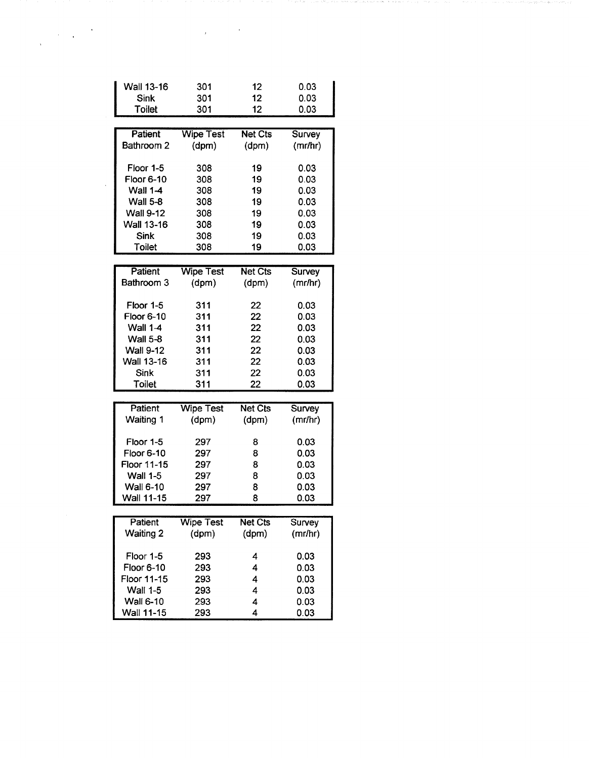| Wall 13-16        | 301              | 12             | 0.03    |
|-------------------|------------------|----------------|---------|
| <b>Sink</b>       | 301              | 12             | 0.03    |
| <b>Toilet</b>     | 301              | 12             | 0.03    |
|                   |                  |                |         |
| Patient           | <b>Wipe Test</b> | <b>Net Cts</b> | Survey  |
| Bathroom 2        | (dpm)            | (dpm)          | (mr/hr) |
|                   |                  |                |         |
| Floor 1-5         | 308              | 19             | 0.03    |
| <b>Floor 6-10</b> | 308              | 19             | 0.03    |
| <b>Wall 1-4</b>   | 308              | 19             | 0.03    |
| <b>Wall 5-8</b>   | 308              | 19             | 0.03    |
| <b>Wall 9-12</b>  | 308              | 19             | 0.03    |
| <b>Wall 13-16</b> | 308              | 19             | 0.03    |
| <b>Sink</b>       | 308              | 19             | 0.03    |
| Toilet            | 308              | 19             | 0.03    |
|                   |                  |                |         |
| Patient           | <b>Wipe Test</b> | <b>Net Cts</b> | Survey  |
| Bathroom 3        | (dpm)            | (dpm)          | (mr/hr) |
|                   |                  |                |         |
| Floor 1-5         | 311              | 22             | 0.03    |
| Floor 6-10        | 311              | 22             | 0.03    |
| <b>Wall 1-4</b>   | 311              | 22             | 0.03    |
| <b>Wall 5-8</b>   | 311              | 22             | 0.03    |
| <b>Wall 9-12</b>  | 311              | 22             | 0.03    |
| Wall 13-16        | 311              | 22             | 0.03    |
| Sink              | 311              | 22             | 0.03    |
| Toilet            | 311              | 22             | 0.03    |
| Patient           |                  |                |         |
| <b>Waiting 1</b>  | <b>Wipe Test</b> | Net Cts        | Survey  |
|                   | (dpm)            | (dpm)          | (mr/hr) |
| Floor 1-5         | 297              | 8              | 0.03    |
| <b>Floor 6-10</b> | 297              | 8              | 0.03    |
| Floor 11-15       | 297              | 8              | 0.03    |
| <b>Wall 1-5</b>   | 297              | 8              | 0.03    |
| Wall 6-10         | 297              | 8              | 0.03    |
| Wall 11-15        | 297              | 8              | 0.03    |
|                   |                  |                |         |
| <b>Patient</b>    | <b>Wipe Test</b> | <b>Net Cts</b> | Survey  |
| <b>Waiting 2</b>  | (dpm)            | (dpm)          | (mr/hr) |
|                   |                  |                |         |
| Floor 1-5         | 293              | 4              | 0.03    |
| Floor 6-10        | 293              | 4              | 0.03    |
| Floor 11-15       | 293              | 4              | 0.03    |
| <b>Wall 1-5</b>   | 293              | 4              | 0.03    |
| <b>Wall 6-10</b>  | 293              | 4              | 0.03    |
| Wall 11-15        | 293              | 4              | 0.03    |

 $\label{eq:2.1} \frac{1}{\sqrt{2}}\left(\frac{1}{\sqrt{2}}\right)^{2} \left(\frac{1}{\sqrt{2}}\right)^{2} \left(\frac{1}{\sqrt{2}}\right)^{2} \left(\frac{1}{\sqrt{2}}\right)^{2} \left(\frac{1}{\sqrt{2}}\right)^{2} \left(\frac{1}{\sqrt{2}}\right)^{2} \left(\frac{1}{\sqrt{2}}\right)^{2} \left(\frac{1}{\sqrt{2}}\right)^{2} \left(\frac{1}{\sqrt{2}}\right)^{2} \left(\frac{1}{\sqrt{2}}\right)^{2} \left(\frac{1}{\sqrt{2}}\right)^{2} \left(\$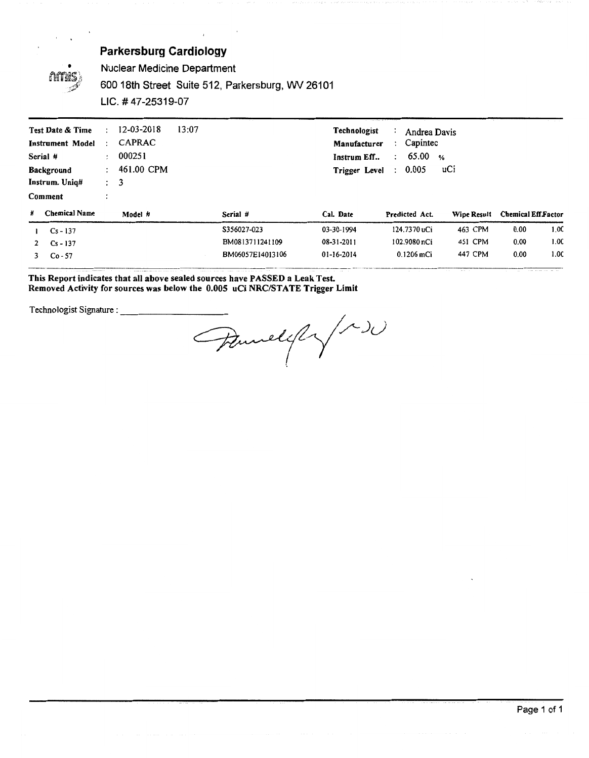

Nuclear Medicine Department

600 18th Street Suite 512, Parkersburg, WV 26101

LIC. # 47-25319-07

| Test Date & Time<br><b>Instrument Model</b><br>Serial #<br>Background<br>Instrum. Unig#<br>Comment | 12-03-2018<br>÷<br>CAPRAC<br>÷<br>000251<br>$\mathbf{r}$<br>461.00 CPM<br>$\mathcal{L}$<br>$\therefore$ 3 | 13:07            | <b>Technologist</b><br>Manufacturer<br>Instrum Eff<br>Trigger Level | Andrea Davis<br>Capintec<br>$\ddot{\phantom{0}}$<br>65.00<br>$\ddot{\phantom{a}}$<br>0.005<br>$\ddot{ }$ | $\frac{9}{6}$<br>uCi |                            |      |
|----------------------------------------------------------------------------------------------------|-----------------------------------------------------------------------------------------------------------|------------------|---------------------------------------------------------------------|----------------------------------------------------------------------------------------------------------|----------------------|----------------------------|------|
| <b>Chemical Name</b><br>#                                                                          | Model #                                                                                                   | Serial #         | Cal. Date                                                           | Predicted Act.                                                                                           | Wipe Result          | <b>Chemical Eff Factor</b> |      |
| $Cs - 137$                                                                                         |                                                                                                           | S356027-023      | 03-30-1994                                                          | 124.7370 uCi                                                                                             | 463 CPM              | 0.00                       | 1.0C |
| $Cs - 137$<br>$\mathbf{2}$                                                                         |                                                                                                           | BM0813711241109  | 08-31-2011                                                          | 102.9080 nCi                                                                                             | 451 CPM              | 0.00                       | 1.0C |
| $Co - 57$<br>3                                                                                     |                                                                                                           | BM06057E14013106 | 01-16-2014                                                          | 0.1206 mCi                                                                                               | 447 CPM              | 0.00                       | 1.0C |

#### **This Report indicates that all above sealed sources have PASSED a Leak Test.**  Removed Activity for sources was below the 0.005 uCi NRC/STATE Trigger Limit

Technologist Signature:---------- ~y <sup>~</sup>J(}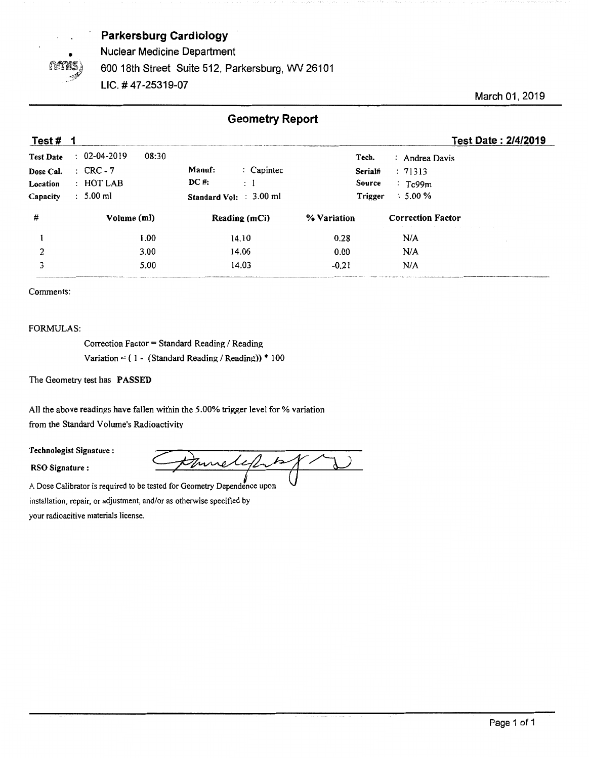

Nuclear Medicine Department

600 18th Street Suite 512, Parkersburg, WV 26101

UC. #47-25319-07

March 01, 2019

## **Geometry Report**

| Test#            |                                                                               | Test Date: 2/4/2019                                             |
|------------------|-------------------------------------------------------------------------------|-----------------------------------------------------------------|
| <b>Test Date</b> | $: 02-04-2019$<br>08:30<br>Tech.<br>: Andrea Davis                            |                                                                 |
| Dose Cal.        | $\therefore$ Capintec<br>Manuf:<br>$\therefore$ CRC - 7<br>: 71313<br>Serial# |                                                                 |
| Location         | DC #:<br>$:$ HOT LAB<br>: 1<br>Source<br>$T_{\rm c}$ 99m                      |                                                                 |
| Capacity         | $: 5.00$ ml<br>$\therefore$ 5.00 %<br>Trigger<br>Standard Vol: : 3.00 ml      |                                                                 |
| #                | Volume (ml)<br>% Variation<br>Reading (mCi)<br><b>Correction Factor</b>       | the contract of the contract of the contract of the contract of |
|                  | N/A<br>1.00<br>0.28<br>14.10                                                  |                                                                 |
| 2                | 3.00<br>N/A<br>14.06<br>0.00                                                  |                                                                 |
|                  | 5.00<br>N/A<br>14.03<br>$-0.21$                                               |                                                                 |

Comments:

#### FORMULAS:

Correction Factor = Standard Reading / Reading Variation =  $(1 - (Standard Reading / Reading)) * 100$ 

The Geometry test has **PASSED** 

All the above readings have fallen within the 5.00% trigger level for % variation from the Standard Volume's Radioactivity All the above readings have fallen within the 5.00% trigger level<br>from the Standard Volume's Radioactivity<br>**Technologist Signature**:

Frame above readings have failed whilm the 5.00% drigger fever for % variation<br>Form the Standard Volume's Radioactivity<br>**RSO Signature :**<br>A Dose Calibrator is required to be tested for Geometry Dependence upon

A Dose Calibrator is required to be tested for Geometry Dependence upon installation, repair, or adjustment, and/or as otherwise specified by your radioacitive materials license.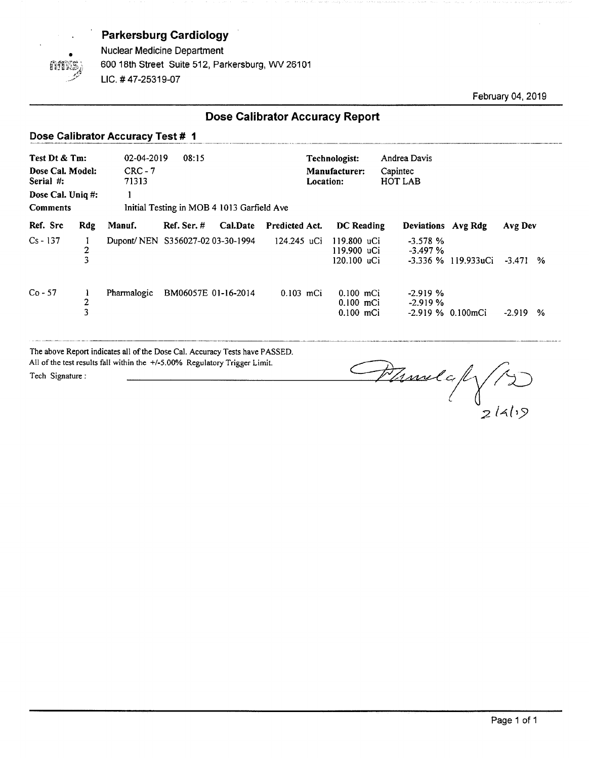

Nuclear Medicine Department 600 18th Street Suite 512, Parkersburg, WV 26101 LIC. # 47-25319-07

February 04, 2019

## **Dose Calibrator Accuracy Report**

#### Dose Calibrator Accuracy Test # 1

| Test Dt & Tm:<br>Dose Cal. Model:<br>Serial #:<br>Dose Cal. Uniq #:<br><b>Comments</b> |               | 02-04-2019<br>$CRC - 7$<br>71313<br>1 | 08:15<br>Initial Testing in MOB 4 1013 Garfield Ave |          |                | Technologist:<br>Location: | Manufacturer:                             | Andrea Davis<br>Capintec<br>HOT LAB |                     |          |   |
|----------------------------------------------------------------------------------------|---------------|---------------------------------------|-----------------------------------------------------|----------|----------------|----------------------------|-------------------------------------------|-------------------------------------|---------------------|----------|---|
| Ref. Src                                                                               | <b>Rdg</b>    | Manuf.                                | $Ref.$ Ser. $#$                                     | Cal.Date | Predicted Act. |                            | DC Reading                                |                                     | Deviations Avg Rdg  | Avg Dev  |   |
| $Cs - 137$                                                                             | $\frac{2}{3}$ | Dupont/NEN S356027-02 03-30-1994      |                                                     |          | 124.245 uCi    |                            | 119.800 uCi<br>119.900 uCi<br>120.100 uCi | $-3.578%$<br>$-3.497\%$             | -3.336 % 119.933uCi | $-3.471$ | % |
| $Co - 57$                                                                              | 2<br>3        | Pharmalogic                           | BM06057E 01-16-2014                                 |          | $0.103$ mCi    |                            | $0.100$ mCi<br>$0.100$ mCi<br>$0.100$ mCi | $-2.919%$<br>$-2.919%$              | $-2.919\%$ 0.100mCi | -2.919   | % |

The above Report indicates all of the Dose Cal. Accuracy Tests have PASSED. The above Report indicates all of the Dose Cal. Accuracy Tests have PASSED.<br>All of the test results fall within the +/-5.00% Regulatory Trigger Limit.

The above Report indicates all of the Dose Cal. Accuracy Tests have PASSED.<br>All of the test results fall within the +/-5.00% Regulatory Trigger Limit.<br>Tech Signature: *;;zl~(,5>*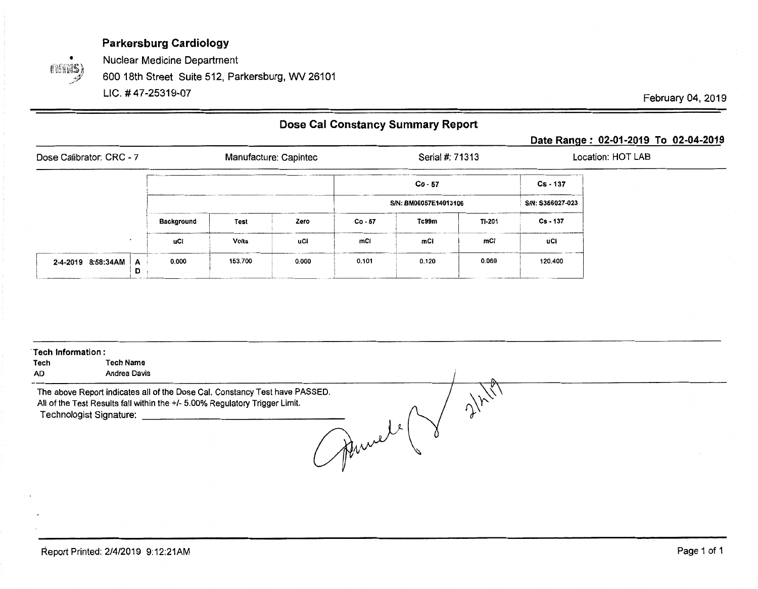(times)

Nuclear Medicine Department

600 18th Street Suite 512, Parkersburg, WV 26101

UC.# 47-25319-07

February 04, 2019

## **Dose Cal Constancy Summary Report**

## **Date Range: 02-01-2019 To 02-04-2019**

| Dose Calibrator: CRC - 7                 | Manufacture: Capintec |              |       |         | Serial #: 71313       |               | Location: HOT LAB |  |
|------------------------------------------|-----------------------|--------------|-------|---------|-----------------------|---------------|-------------------|--|
|                                          |                       |              |       |         | $Co - 57$             |               | Cs - 137          |  |
|                                          |                       |              |       |         | S/N: BM06057E14013106 |               | S/N: S356027-023  |  |
|                                          | <b>Background</b>     | Test         | Zero  | Co - 57 | Tc99m                 | <b>TI-201</b> | $Cs - 137$        |  |
|                                          | uCl                   | <b>Volts</b> | uCi   | mCi     | mCi                   | mCi           | uCi               |  |
| $2-4-2019$ 8:58:34AM $\overline{A}$<br>D | 0.000                 | 153.700      | 0.000 | 0.101   | 0.120                 | 0.069         | 120.400           |  |

| Tech Information:<br>Tech<br>AD. | <b>Tech Name</b><br>Andrea Davis                                                                                                                                                                                                                                                                                                                                                                                              |  |
|----------------------------------|-------------------------------------------------------------------------------------------------------------------------------------------------------------------------------------------------------------------------------------------------------------------------------------------------------------------------------------------------------------------------------------------------------------------------------|--|
|                                  | The above Report indicates all of the Dose Cal. Constancy Test have PASSED.<br>All of the Test Results fall within the +/- 5.00% Regulatory Trigger Limit.<br>Technologist Signature:<br><u> 1989 - John Stein, mars and de Branch and de Branch and de Branch and de Branch and de Branch and de Branch and de Branch and de Branch and de Branch and de Branch and de Branch and de Branch and de Branch and de Branch </u> |  |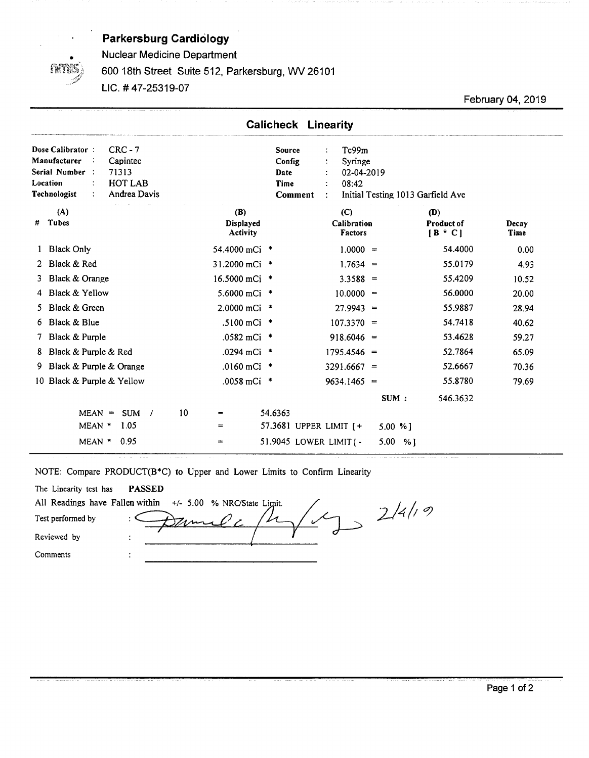

Nuclear Medicine Department

#### 600 18th Street Suite 512, Parkersburg, WV 26101

UC.# 47-25319-07

February 04, 2019

|    |                                                                                                                                                                     | <b>Calicheck Linearity</b>                  |                                                                                        |                                    |               |
|----|---------------------------------------------------------------------------------------------------------------------------------------------------------------------|---------------------------------------------|----------------------------------------------------------------------------------------|------------------------------------|---------------|
|    | $CRC - 7$<br>Dose Calibrator:<br>Manufacturer<br>Capintec<br>Serial Number:<br>71313<br>HOT LAB<br>Location<br>$\ddot{\phantom{a}}$<br>Technologist<br>Andrea Davis | Source<br>Config<br>Date<br>Time<br>Comment | Tc99m<br>÷<br>Syringe<br>÷<br>02-04-2019<br>08:42<br>Initial Testing 1013 Garfield Ave |                                    |               |
| #  | (A)<br>Tubes                                                                                                                                                        | (B)<br>Displayed<br><b>Activity</b>         | (C)<br>Calibration<br>Factors                                                          | (D)<br>Product of<br>$[B \cdot C]$ | Decay<br>Time |
|    | <b>Black Only</b>                                                                                                                                                   | 54.4000 mCi *                               | $1.0000 =$                                                                             | 54.4000                            | 0.00          |
|    | 2 Black & Red                                                                                                                                                       | 31.2000 mCi *                               | $1.7634 =$                                                                             | 55.0179                            | 4.93          |
| 3. | Black & Orange                                                                                                                                                      | 16.5000 mCi *                               | $3.3588 =$                                                                             | 55.4209                            | 10.52         |
|    | Black & Yellow                                                                                                                                                      | 5.6000 mCi *                                | $10.0000 =$                                                                            | 56.0000                            | 20.00         |
| 5. | Black & Green                                                                                                                                                       | 2.0000 mCi *                                | $27.9943 =$                                                                            | 55.9887                            | 28.94         |
| 6  | Black & Blue                                                                                                                                                        | .5100 mCi $*$                               | $107.3370 =$                                                                           | 54.7418                            | 40.62         |
| 7. | Black & Purple                                                                                                                                                      | .0582 mCi $*$                               | $918.6046 =$                                                                           | 53.4628                            | 59.27         |
| 8  | Black & Purple & Red                                                                                                                                                | .0294 mCi *                                 | $1795.4546 =$                                                                          | 52.7864                            | 65.09         |
| 9. | Black & Purple & Orange                                                                                                                                             | .0160 mCi $*$                               | $3291.6667 =$                                                                          | 52.6667                            | 70.36         |
|    | 10 Black & Purple & Yellow                                                                                                                                          | $.0058$ mCi $*$                             | $9634.1465 =$                                                                          | 55.8780                            | 79.69         |
|    |                                                                                                                                                                     |                                             | SUM:                                                                                   | 546.3632                           |               |
|    | $MEAN =$<br>SUM /                                                                                                                                                   | 10<br>54.6363<br>$=$                        |                                                                                        |                                    |               |
|    | MEAN *<br>1.05                                                                                                                                                      | 57.3681 UPPER LIMIT $\uparrow$<br>$=$       | $5.00 \%$ ]                                                                            |                                    |               |
|    | 0.95<br>MEAN *                                                                                                                                                      | 51.9045 LOWER LIMIT [-<br>$\equiv$          | 5.00 %]                                                                                |                                    |               |

NOTE: Compare PRODUCT(B\*C) to Upper and Lower Limits to Confirm Linearity

| The Linearity test has | <b>PASSED</b>                                                 |  |
|------------------------|---------------------------------------------------------------|--|
|                        | All Readings have Fallen within $+/-$ 5.00 % NRC/State Limit. |  |
| Test performed by      | $\bullet$                                                     |  |
| Reviewed by            | ۰                                                             |  |
| Comments               |                                                               |  |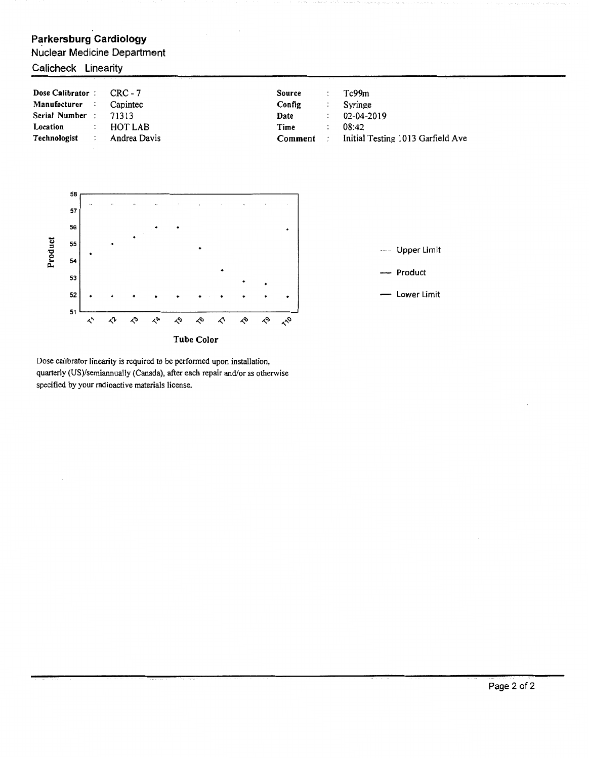#### Nuclear Medicine Department



Dose calibrator linearity is required to be perfonned upon installation, quarterly (US)/semiannually (Canada), after each repair and/or as otherwise specified by your radioactive materials license.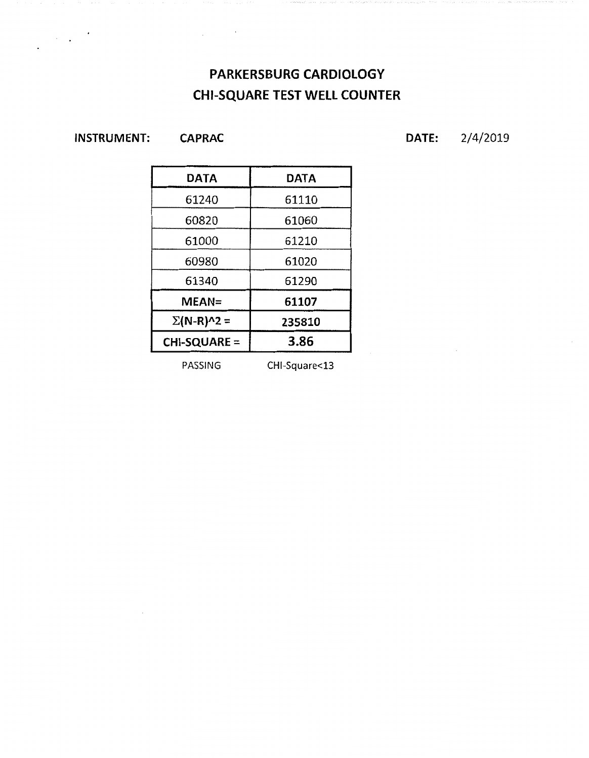# **PARKERSBURG CARDIOLOGY CHI-SQUARE TEST WELL COUNTER**

**INSTRUMENT:** 

 $\sim 10^{11}$  km

**CAPRAC** 

 $\hat{\mathcal{A}}$ 

**DATE:** 2/4/2019

| DATA              | DATA   |  |  |
|-------------------|--------|--|--|
| 61240             | 61110  |  |  |
| 60820             | 61060  |  |  |
| 61000             | 61210  |  |  |
| 60980             | 61020  |  |  |
| 61340             | 61290  |  |  |
| $MEAN =$          | 61107  |  |  |
| $\Sigma(N-R)^2$ = | 235810 |  |  |
| CHI-SQUARE =      | 3.86   |  |  |

PASSING CHI-Square<13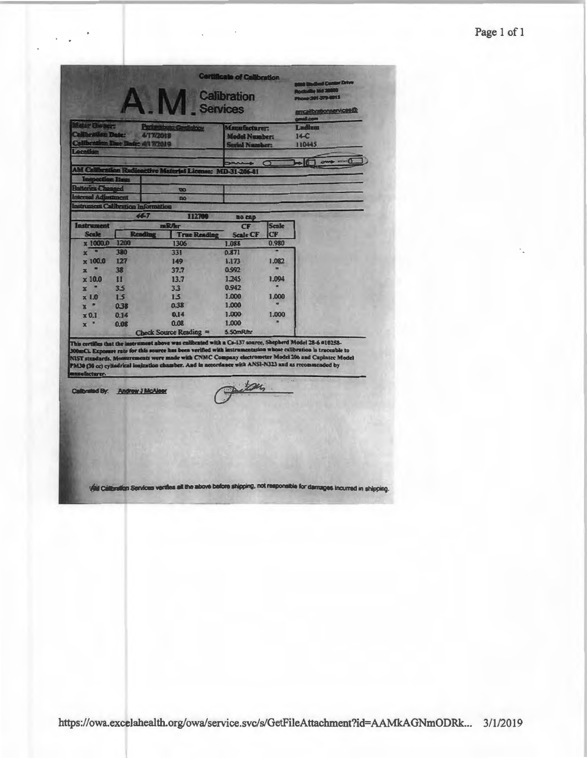## Page 1 of 1

| <b>Services</b><br><b>Beter Dis Serr</b><br><b>The Conditions</b><br><b>Part order</b><br>Torialion Date:<br>4/17/2018<br><b>Calibratis</b><br>m That I<br><b>De 44 72019</b> |              |                            |                     | Manufacturer:<br><b>Model Number:</b><br><b>Serial Number:</b> |                    | amcalibrationserv.cos@<br>mooth<br>Ladium<br>$14-C$<br>110445                                                                                                                                                                                                                                                                                                                                                                           |
|-------------------------------------------------------------------------------------------------------------------------------------------------------------------------------|--------------|----------------------------|---------------------|----------------------------------------------------------------|--------------------|-----------------------------------------------------------------------------------------------------------------------------------------------------------------------------------------------------------------------------------------------------------------------------------------------------------------------------------------------------------------------------------------------------------------------------------------|
|                                                                                                                                                                               |              |                            |                     |                                                                | $\sigma$           | >100<br>own                                                                                                                                                                                                                                                                                                                                                                                                                             |
|                                                                                                                                                                               |              |                            |                     | $: MD-31-206-01$                                               |                    |                                                                                                                                                                                                                                                                                                                                                                                                                                         |
| <b>CONTROL</b>                                                                                                                                                                |              | <b>DO</b>                  |                     |                                                                |                    |                                                                                                                                                                                                                                                                                                                                                                                                                                         |
|                                                                                                                                                                               | Adiustment   | <b>DO</b>                  |                     |                                                                |                    |                                                                                                                                                                                                                                                                                                                                                                                                                                         |
|                                                                                                                                                                               |              | at Calibration Information |                     |                                                                |                    |                                                                                                                                                                                                                                                                                                                                                                                                                                         |
|                                                                                                                                                                               |              | $44 - 7$                   | 112700              | no cap                                                         |                    |                                                                                                                                                                                                                                                                                                                                                                                                                                         |
| <b>Instrument</b><br><b>Scale</b>                                                                                                                                             | Rendh        | <b>BRAT</b>                | <b>True Reading</b> | CF<br><b>Scale CF</b>                                          | <b>Scale</b><br>CF |                                                                                                                                                                                                                                                                                                                                                                                                                                         |
| x 1000.0                                                                                                                                                                      | 1200         | 1306                       |                     | 1.088                                                          | 0.980              |                                                                                                                                                                                                                                                                                                                                                                                                                                         |
| o<br>$\mathbf{x}$                                                                                                                                                             | 380          | 331                        |                     | 0.871                                                          |                    |                                                                                                                                                                                                                                                                                                                                                                                                                                         |
| x 100.0                                                                                                                                                                       | 127          | $149 -$                    |                     | 1,173                                                          | 1.082              |                                                                                                                                                                                                                                                                                                                                                                                                                                         |
| $x -$                                                                                                                                                                         | 38           | 37.7                       |                     | 0.992                                                          |                    |                                                                                                                                                                                                                                                                                                                                                                                                                                         |
| $\times 10.0$                                                                                                                                                                 | $11$         | 13.7                       |                     | 1.245                                                          | 1.094              |                                                                                                                                                                                                                                                                                                                                                                                                                                         |
| $\mathbf{r}$                                                                                                                                                                  | 35           | 33                         |                     | 0.942                                                          |                    |                                                                                                                                                                                                                                                                                                                                                                                                                                         |
| $\times 1.0$                                                                                                                                                                  | 15           | 15                         |                     | 1,000                                                          | 1,000              |                                                                                                                                                                                                                                                                                                                                                                                                                                         |
| $X$ =                                                                                                                                                                         | 0.38<br>0.14 | 0.38<br>0.14               |                     | 1,000<br>1,000                                                 | 1,000              |                                                                                                                                                                                                                                                                                                                                                                                                                                         |
| $\times 0.1$<br>$x -$                                                                                                                                                         | 0.08         | 0.08                       |                     | 1,000                                                          |                    |                                                                                                                                                                                                                                                                                                                                                                                                                                         |
|                                                                                                                                                                               |              | Check Source Reading =     |                     | 5.50mR/hr                                                      |                    |                                                                                                                                                                                                                                                                                                                                                                                                                                         |
| sufacturer.                                                                                                                                                                   |              |                            |                     |                                                                |                    | This certifies that the instrument above was calibrated with a Cs-137 source, Shepherd Model 28-6 #10258-<br>300mCL Exposure rate for this source has been verified with instrumentation whose calibration is traceable to<br>NIST standards. Mensurements were made with CNMC Company electrometer Model 206 and Capintee Model<br>PM30 (30 cc) cylindrical lonization chamber. And in accordance with ANSI-N323 and as recommended by |
| Calibrated By: Andrew J McAleer                                                                                                                                               |              |                            |                     |                                                                |                    |                                                                                                                                                                                                                                                                                                                                                                                                                                         |
|                                                                                                                                                                               |              |                            |                     |                                                                |                    |                                                                                                                                                                                                                                                                                                                                                                                                                                         |